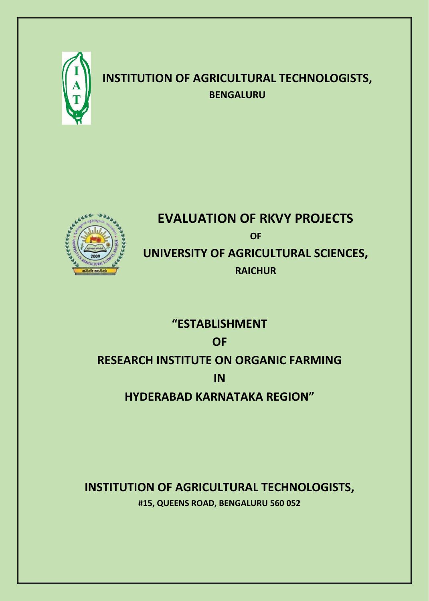

# **INSTITUTION OF AGRICULTURAL TECHNOLOGISTS, BENGALURU**



# **EVALUATION OF RKVY PROJECTS OF UNIVERSITY OF AGRICULTURAL SCIENCES, RAICHUR**

# **"ESTABLISHMENT OF RESEARCH INSTITUTE ON ORGANIC FARMING IN HYDERABAD KARNATAKA REGION"**

## **INSTITUTION OF AGRICULTURAL TECHNOLOGISTS, #15, QUEENS ROAD, BENGALURU 560 052**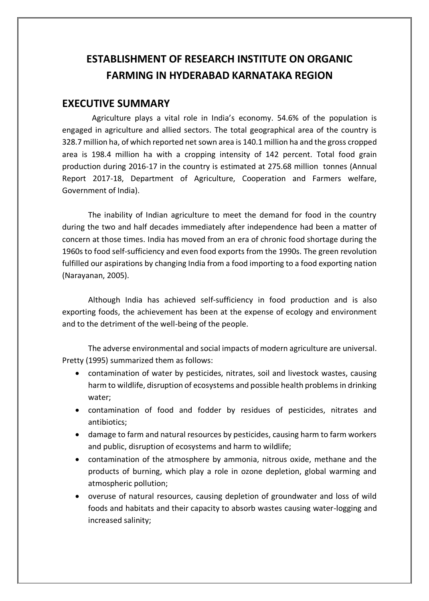## **ESTABLISHMENT OF RESEARCH INSTITUTE ON ORGANIC FARMING IN HYDERABAD KARNATAKA REGION**

#### **EXECUTIVE SUMMARY**

 Agriculture plays a vital role in India's economy. 54.6% of the population is engaged in agriculture and allied sectors. The total geographical area of the country is 328.7 million ha, of which reported net sown area is 140.1 million ha and the gross cropped area is 198.4 million ha with a cropping intensity of 142 percent. Total food grain production during 2016-17 in the country is estimated at 275.68 million tonnes (Annual Report 2017-18, Department of Agriculture, Cooperation and Farmers welfare, Government of India).

The inability of Indian agriculture to meet the demand for food in the country during the two and half decades immediately after independence had been a matter of concern at those times. India has moved from an era of chronic food shortage during the 1960s to food self-sufficiency and even food exports from the 1990s. The green revolution fulfilled our aspirations by changing India from a food importing to a food exporting nation (Narayanan, 2005).

Although India has achieved self-sufficiency in food production and is also exporting foods, the achievement has been at the expense of ecology and environment and to the detriment of the well-being of the people.

The adverse environmental and social impacts of modern agriculture are universal. Pretty (1995) summarized them as follows:

- contamination of water by pesticides, nitrates, soil and livestock wastes, causing harm to wildlife, disruption of ecosystems and possible health problems in drinking water;
- contamination of food and fodder by residues of pesticides, nitrates and antibiotics;
- damage to farm and natural resources by pesticides, causing harm to farm workers and public, disruption of ecosystems and harm to wildlife;
- contamination of the atmosphere by ammonia, nitrous oxide, methane and the products of burning, which play a role in ozone depletion, global warming and atmospheric pollution;
- overuse of natural resources, causing depletion of groundwater and loss of wild foods and habitats and their capacity to absorb wastes causing water-logging and increased salinity;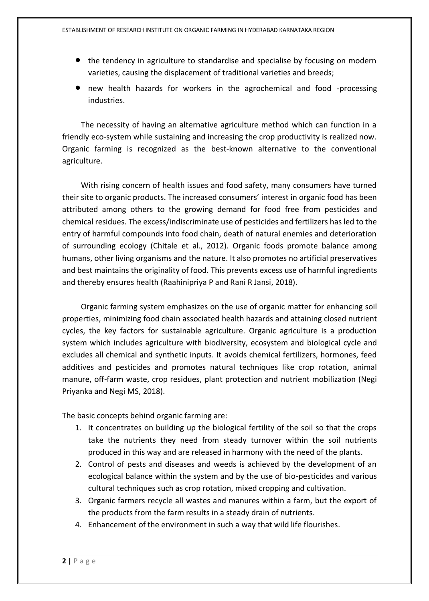- the tendency in agriculture to standardise and specialise by focusing on modern varieties, causing the displacement of traditional varieties and breeds;
- new health hazards for workers in the agrochemical and food -processing industries.

 The necessity of having an alternative agriculture method which can function in a friendly eco-system while sustaining and increasing the crop productivity is realized now. Organic farming is recognized as the best-known alternative to the conventional agriculture.

 With rising concern of health issues and food safety, many consumers have turned their site to organic products. The increased consumers' interest in organic food has been attributed among others to the growing demand for food free from pesticides and chemical residues. The excess/indiscriminate use of pesticides and fertilizers has led to the entry of harmful compounds into food chain, death of natural enemies and deterioration of surrounding ecology (Chitale et al., 2012). Organic foods promote balance among humans, other living organisms and the nature. It also promotes no artificial preservatives and best maintains the originality of food. This prevents excess use of harmful ingredients and thereby ensures health (Raahinipriya P and Rani R Jansi, 2018).

 Organic farming system emphasizes on the use of organic matter for enhancing soil properties, minimizing food chain associated health hazards and attaining closed nutrient cycles, the key factors for sustainable agriculture. Organic agriculture is a production system which includes agriculture with biodiversity, ecosystem and biological cycle and excludes all chemical and synthetic inputs. It avoids chemical fertilizers, hormones, feed additives and pesticides and promotes natural techniques like crop rotation, animal manure, off-farm waste, crop residues, plant protection and nutrient mobilization (Negi Priyanka and Negi MS, 2018).

The basic concepts behind organic farming are:

- 1. It concentrates on building up the biological fertility of the soil so that the crops take the nutrients they need from steady turnover within the soil nutrients produced in this way and are released in harmony with the need of the plants.
- 2. Control of pests and diseases and weeds is achieved by the development of an ecological balance within the system and by the use of bio-pesticides and various cultural techniques such as crop rotation, mixed cropping and cultivation.
- 3. Organic farmers recycle all wastes and manures within a farm, but the export of the products from the farm results in a steady drain of nutrients.
- 4. Enhancement of the environment in such a way that wild life flourishes.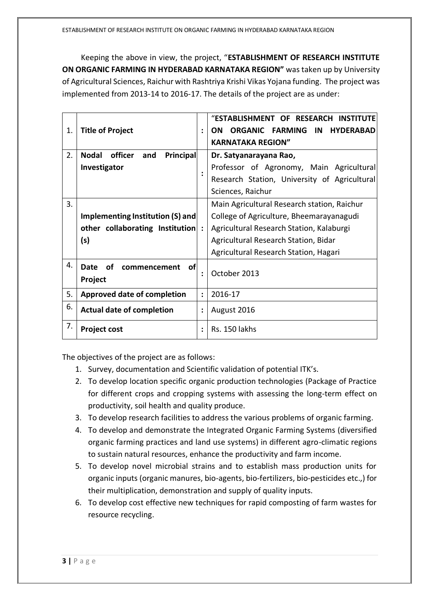Keeping the above in view, the project, "**ESTABLISHMENT OF RESEARCH INSTITUTE ON ORGANIC FARMING IN HYDERABAD KARNATAKA REGION"** was taken up by University of Agricultural Sciences, Raichur with Rashtriya Krishi Vikas Yojana funding. The project was implemented from 2013-14 to 2016-17. The details of the project are as under:

| 1. | <b>Title of Project</b>                     | $\ddot{\cdot}$ | "ESTABLISHMENT OF RESEARCH INSTITUTE<br><b>ORGANIC FARMING</b><br>IN<br><b>HYDERABAD</b><br>ON.<br><b>KARNATAKA REGION"</b> |
|----|---------------------------------------------|----------------|-----------------------------------------------------------------------------------------------------------------------------|
| 2. | Principal<br>officer<br><b>Nodal</b><br>and |                | Dr. Satyanarayana Rao,                                                                                                      |
|    | Investigator                                |                | Professor of Agronomy, Main Agricultural                                                                                    |
|    |                                             |                | Research Station, University of Agricultural                                                                                |
|    |                                             |                | Sciences, Raichur                                                                                                           |
| 3. |                                             |                | Main Agricultural Research station, Raichur                                                                                 |
|    | Implementing Institution (S) and            |                | College of Agriculture, Bheemarayanagudi                                                                                    |
|    | other collaborating Institution :           |                | Agricultural Research Station, Kalaburgi                                                                                    |
|    | (s)                                         |                | Agricultural Research Station, Bidar                                                                                        |
|    |                                             |                | Agricultural Research Station, Hagari                                                                                       |
| 4. | of<br>Date<br>οf<br>commencement<br>Project | $\ddot{\cdot}$ | October 2013                                                                                                                |
| 5. | <b>Approved date of completion</b>          | $\ddot{\cdot}$ | 2016-17                                                                                                                     |
| 6. | <b>Actual date of completion</b>            | $\ddot{\cdot}$ | August 2016                                                                                                                 |
| 7. | <b>Project cost</b>                         | ÷              | Rs. 150 lakhs                                                                                                               |

The objectives of the project are as follows:

- 1. Survey, documentation and Scientific validation of potential ITK's.
- 2. To develop location specific organic production technologies (Package of Practice for different crops and cropping systems with assessing the long-term effect on productivity, soil health and quality produce.
- 3. To develop research facilities to address the various problems of organic farming.
- 4. To develop and demonstrate the Integrated Organic Farming Systems (diversified organic farming practices and land use systems) in different agro-climatic regions to sustain natural resources, enhance the productivity and farm income.
- 5. To develop novel microbial strains and to establish mass production units for organic inputs (organic manures, bio-agents, bio-fertilizers, bio-pesticides etc.,) for their multiplication, demonstration and supply of quality inputs.
- 6. To develop cost effective new techniques for rapid composting of farm wastes for resource recycling.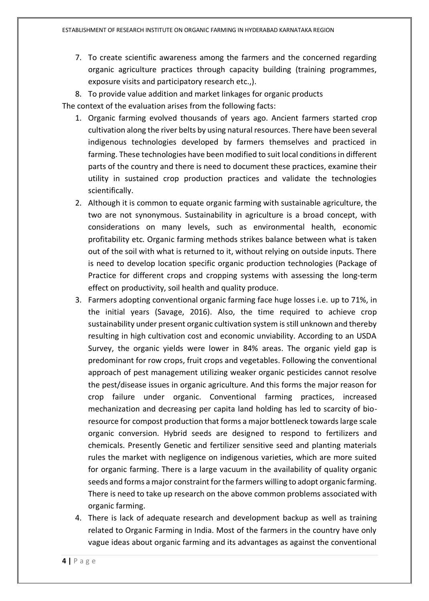7. To create scientific awareness among the farmers and the concerned regarding organic agriculture practices through capacity building (training programmes, exposure visits and participatory research etc.,).

8. To provide value addition and market linkages for organic products The context of the evaluation arises from the following facts:

- 1. Organic farming evolved thousands of years ago. Ancient farmers started crop cultivation along the river belts by using natural resources. There have been several indigenous technologies developed by farmers themselves and practiced in farming. These technologies have been modified to suit local conditions in different parts of the country and there is need to document these practices, examine their utility in sustained crop production practices and validate the technologies scientifically.
- 2. Although it is common to equate organic farming with sustainable agriculture, the two are not synonymous. Sustainability in agriculture is a broad concept, with considerations on many levels, such as environmental health, economic profitability etc. Organic farming methods strikes balance between what is taken out of the soil with what is returned to it, without relying on outside inputs. There is need to develop location specific organic production technologies (Package of Practice for different crops and cropping systems with assessing the long-term effect on productivity, soil health and quality produce.
- 3. Farmers adopting conventional organic farming face huge losses i.e. up to 71%, in the initial years (Savage, 2016). Also, the time required to achieve crop sustainability under present organic cultivation system is still unknown and thereby resulting in high cultivation cost and economic unviability. According to an USDA Survey, the organic yields were lower in 84% areas. The organic yield gap is predominant for row crops, fruit crops and vegetables. Following the conventional approach of pest management utilizing weaker organic pesticides cannot resolve the pest/disease issues in organic agriculture. And this forms the major reason for crop failure under organic. Conventional farming practices, increased mechanization and decreasing per capita land holding has led to scarcity of bioresource for compost production that forms a major bottleneck towards large scale organic conversion. Hybrid seeds are designed to respond to fertilizers and chemicals. Presently Genetic and fertilizer sensitive seed and planting materials rules the market with negligence on indigenous varieties, which are more suited for organic farming. There is a large vacuum in the availability of quality organic seeds and forms a major constraint for the farmers willing to adopt organic farming. There is need to take up research on the above common problems associated with organic farming.
- 4. There is lack of adequate research and development backup as well as training related to Organic Farming in India. Most of the farmers in the country have only vague ideas about organic farming and its advantages as against the conventional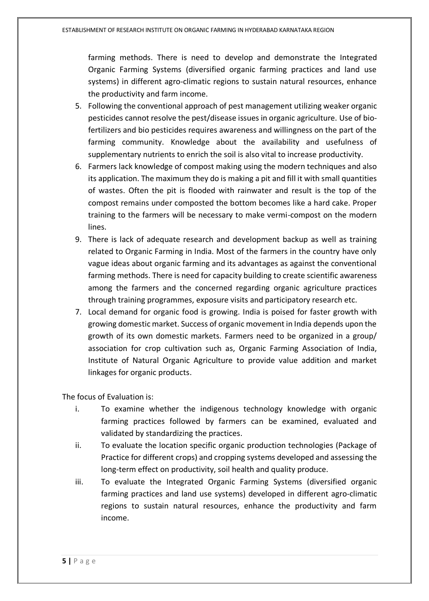farming methods. There is need to develop and demonstrate the Integrated Organic Farming Systems (diversified organic farming practices and land use systems) in different agro-climatic regions to sustain natural resources, enhance the productivity and farm income.

- 5. Following the conventional approach of pest management utilizing weaker organic pesticides cannot resolve the pest/disease issues in organic agriculture. Use of biofertilizers and bio pesticides requires awareness and willingness on the part of the farming community. Knowledge about the availability and usefulness of supplementary nutrients to enrich the soil is also vital to increase productivity.
- 6. Farmers lack knowledge of compost making using the modern techniques and also its application. The maximum they do is making a pit and fill it with small quantities of wastes. Often the pit is flooded with rainwater and result is the top of the compost remains under composted the bottom becomes like a hard cake. Proper training to the farmers will be necessary to make vermi-compost on the modern lines.
- 9. There is lack of adequate research and development backup as well as training related to Organic Farming in India. Most of the farmers in the country have only vague ideas about organic farming and its advantages as against the conventional farming methods. There is need for capacity building to create scientific awareness among the farmers and the concerned regarding organic agriculture practices through training programmes, exposure visits and participatory research etc.
- 7. Local demand for organic food is growing. India is poised for faster growth with growing domestic market. Success of organic movement in India depends upon the growth of its own domestic markets. Farmers need to be organized in a group/ association for crop cultivation such as, Organic Farming Association of India, Institute of Natural Organic Agriculture to provide value addition and market linkages for organic products.

The focus of Evaluation is:

- i. To examine whether the indigenous technology knowledge with organic farming practices followed by farmers can be examined, evaluated and validated by standardizing the practices.
- ii. To evaluate the location specific organic production technologies (Package of Practice for different crops) and cropping systems developed and assessing the long-term effect on productivity, soil health and quality produce.
- iii. To evaluate the Integrated Organic Farming Systems (diversified organic farming practices and land use systems) developed in different agro-climatic regions to sustain natural resources, enhance the productivity and farm income.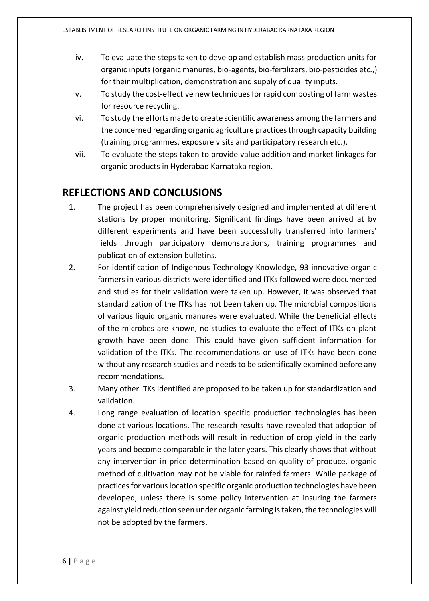- iv. To evaluate the steps taken to develop and establish mass production units for organic inputs (organic manures, bio-agents, bio-fertilizers, bio-pesticides etc.,) for their multiplication, demonstration and supply of quality inputs.
- v. To study the cost-effective new techniques for rapid composting of farm wastes for resource recycling.
- vi. To study the efforts made to create scientific awareness among the farmers and the concerned regarding organic agriculture practices through capacity building (training programmes, exposure visits and participatory research etc.).
- vii. To evaluate the steps taken to provide value addition and market linkages for organic products in Hyderabad Karnataka region.

#### **REFLECTIONS AND CONCLUSIONS**

- 1. The project has been comprehensively designed and implemented at different stations by proper monitoring. Significant findings have been arrived at by different experiments and have been successfully transferred into farmers' fields through participatory demonstrations, training programmes and publication of extension bulletins.
- 2. For identification of Indigenous Technology Knowledge, 93 innovative organic farmers in various districts were identified and ITKs followed were documented and studies for their validation were taken up. However, it was observed that standardization of the ITKs has not been taken up. The microbial compositions of various liquid organic manures were evaluated. While the beneficial effects of the microbes are known, no studies to evaluate the effect of ITKs on plant growth have been done. This could have given sufficient information for validation of the ITKs. The recommendations on use of ITKs have been done without any research studies and needs to be scientifically examined before any recommendations.
- 3. Many other ITKs identified are proposed to be taken up for standardization and validation.
- 4. Long range evaluation of location specific production technologies has been done at various locations. The research results have revealed that adoption of organic production methods will result in reduction of crop yield in the early years and become comparable in the later years. This clearly shows that without any intervention in price determination based on quality of produce, organic method of cultivation may not be viable for rainfed farmers. While package of practices for various location specific organic production technologies have been developed, unless there is some policy intervention at insuring the farmers against yield reduction seen under organic farming is taken, the technologies will not be adopted by the farmers.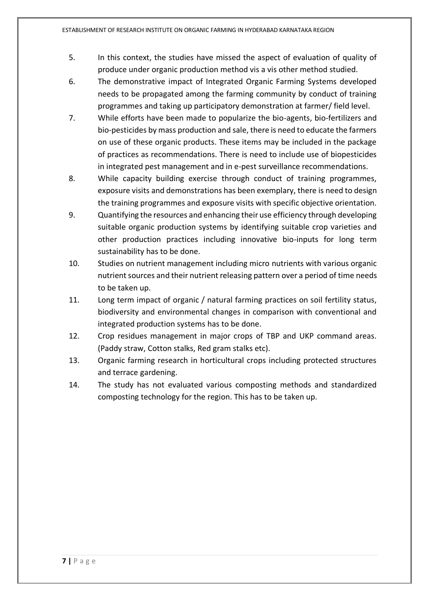- 5. In this context, the studies have missed the aspect of evaluation of quality of produce under organic production method vis a vis other method studied.
- 6. The demonstrative impact of Integrated Organic Farming Systems developed needs to be propagated among the farming community by conduct of training programmes and taking up participatory demonstration at farmer/ field level.
- 7. While efforts have been made to popularize the bio-agents, bio-fertilizers and bio-pesticides by mass production and sale, there is need to educate the farmers on use of these organic products. These items may be included in the package of practices as recommendations. There is need to include use of biopesticides in integrated pest management and in e-pest surveillance recommendations.
- 8. While capacity building exercise through conduct of training programmes, exposure visits and demonstrations has been exemplary, there is need to design the training programmes and exposure visits with specific objective orientation.
- 9. Quantifying the resources and enhancing their use efficiency through developing suitable organic production systems by identifying suitable crop varieties and other production practices including innovative bio-inputs for long term sustainability has to be done.
- 10. Studies on nutrient management including micro nutrients with various organic nutrient sources and their nutrient releasing pattern over a period of time needs to be taken up.
- 11. Long term impact of organic / natural farming practices on soil fertility status, biodiversity and environmental changes in comparison with conventional and integrated production systems has to be done.
- 12. Crop residues management in major crops of TBP and UKP command areas. (Paddy straw, Cotton stalks, Red gram stalks etc).
- 13. Organic farming research in horticultural crops including protected structures and terrace gardening.
- 14. The study has not evaluated various composting methods and standardized composting technology for the region. This has to be taken up.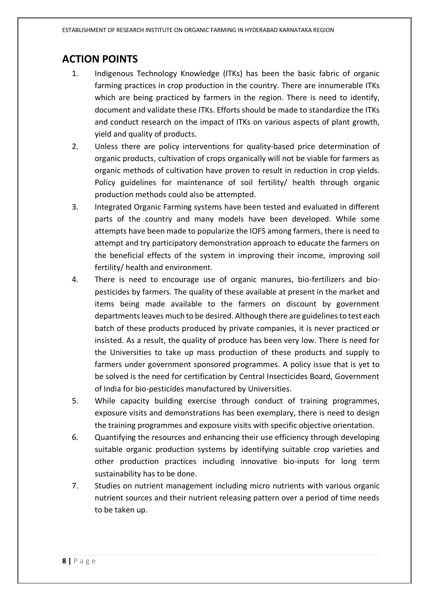## **ACTION POINTS**

- 1. Indigenous Technology Knowledge (ITKs) has been the basic fabric of organic farming practices in crop production in the country. There are innumerable ITKs which are being practiced by farmers in the region. There is need to identify, document and validate these ITKs. Efforts should be made to standardize the ITKs and conduct research on the impact of ITKs on various aspects of plant growth, yield and quality of products.
- 2. Unless there are policy interventions for quality-based price determination of organic products, cultivation of crops organically will not be viable for farmers as organic methods of cultivation have proven to result in reduction in crop yields. Policy guidelines for maintenance of soil fertility/ health through organic production methods could also be attempted.
- 3. Integrated Organic Farming systems have been tested and evaluated in different parts of the country and many models have been developed. While some attempts have been made to popularize the IOFS among farmers, there is need to attempt and try participatory demonstration approach to educate the farmers on the beneficial effects of the system in improving their income, improving soil fertility/ health and environment.
- 4. There is need to encourage use of organic manures, bio-fertilizers and biopesticides by farmers. The quality of these available at present in the market and items being made available to the farmers on discount by government departments leaves much to be desired. Although there are guidelines to test each batch of these products produced by private companies, it is never practiced or insisted. As a result, the quality of produce has been very low. There is need for the Universities to take up mass production of these products and supply to farmers under government sponsored programmes. A policy issue that is yet to be solved is the need for certification by Central Insecticides Board, Government of India for bio-pesticides manufactured by Universities.
- 5. While capacity building exercise through conduct of training programmes, exposure visits and demonstrations has been exemplary, there is need to design the training programmes and exposure visits with specific objective orientation.
- 6. Quantifying the resources and enhancing their use efficiency through developing suitable organic production systems by identifying suitable crop varieties and other production practices including innovative bio-inputs for long term sustainability has to be done.
- 7. Studies on nutrient management including micro nutrients with various organic nutrient sources and their nutrient releasing pattern over a period of time needs to be taken up.